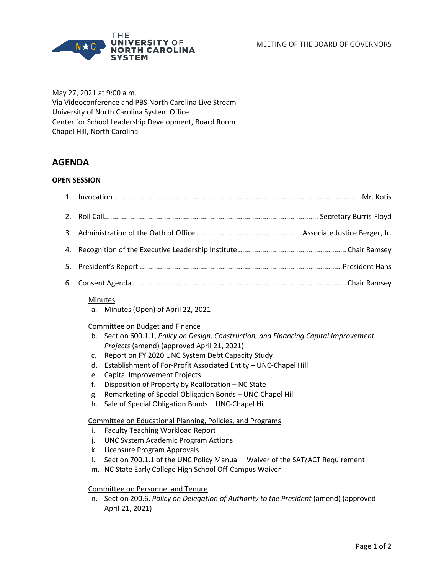MEETING OF THE BOARD OF GOVERNORS



May 27, 2021 at 9:00 a.m. Via Videoconference and PBS North Carolina Live Stream University of North Carolina System Office Center for School Leadership Development, Board Room Chapel Hill, North Carolina

# **AGENDA**

### **OPEN SESSION**

| 1. |                                                                                                                                                                                                                                                                                                                                                                                                                                                                                                                                                                                                        |
|----|--------------------------------------------------------------------------------------------------------------------------------------------------------------------------------------------------------------------------------------------------------------------------------------------------------------------------------------------------------------------------------------------------------------------------------------------------------------------------------------------------------------------------------------------------------------------------------------------------------|
| 2. |                                                                                                                                                                                                                                                                                                                                                                                                                                                                                                                                                                                                        |
| 3. |                                                                                                                                                                                                                                                                                                                                                                                                                                                                                                                                                                                                        |
| 4. |                                                                                                                                                                                                                                                                                                                                                                                                                                                                                                                                                                                                        |
| 5. |                                                                                                                                                                                                                                                                                                                                                                                                                                                                                                                                                                                                        |
| 6. |                                                                                                                                                                                                                                                                                                                                                                                                                                                                                                                                                                                                        |
|    | Minutes<br>Minutes (Open) of April 22, 2021<br>a.<br>Committee on Budget and Finance<br>b. Section 600.1.1, Policy on Design, Construction, and Financing Capital Improvement<br>Projects (amend) (approved April 21, 2021)<br>Report on FY 2020 UNC System Debt Capacity Study<br>c.<br>Establishment of For-Profit Associated Entity - UNC-Chapel Hill<br>d.<br><b>Capital Improvement Projects</b><br>e.<br>Disposition of Property by Reallocation - NC State<br>f.<br>Remarketing of Special Obligation Bonds - UNC-Chapel Hill<br>g.<br>Sale of Special Obligation Bonds - UNC-Chapel Hill<br>h. |
|    | Committee on Educational Planning, Policies, and Programs<br><b>Faculty Teaching Workload Report</b><br>i.<br><b>UNC System Academic Program Actions</b><br>j.<br>Licensure Program Approvals<br>k.<br>Section 700.1.1 of the UNC Policy Manual - Waiver of the SAT/ACT Requirement<br>I.<br>m. NC State Early College High School Off-Campus Waiver                                                                                                                                                                                                                                                   |

#### Committee on Personnel and Tenure

n. Section 200.6, *Policy on Delegation of Authority to the President* (amend) (approved April 21, 2021)